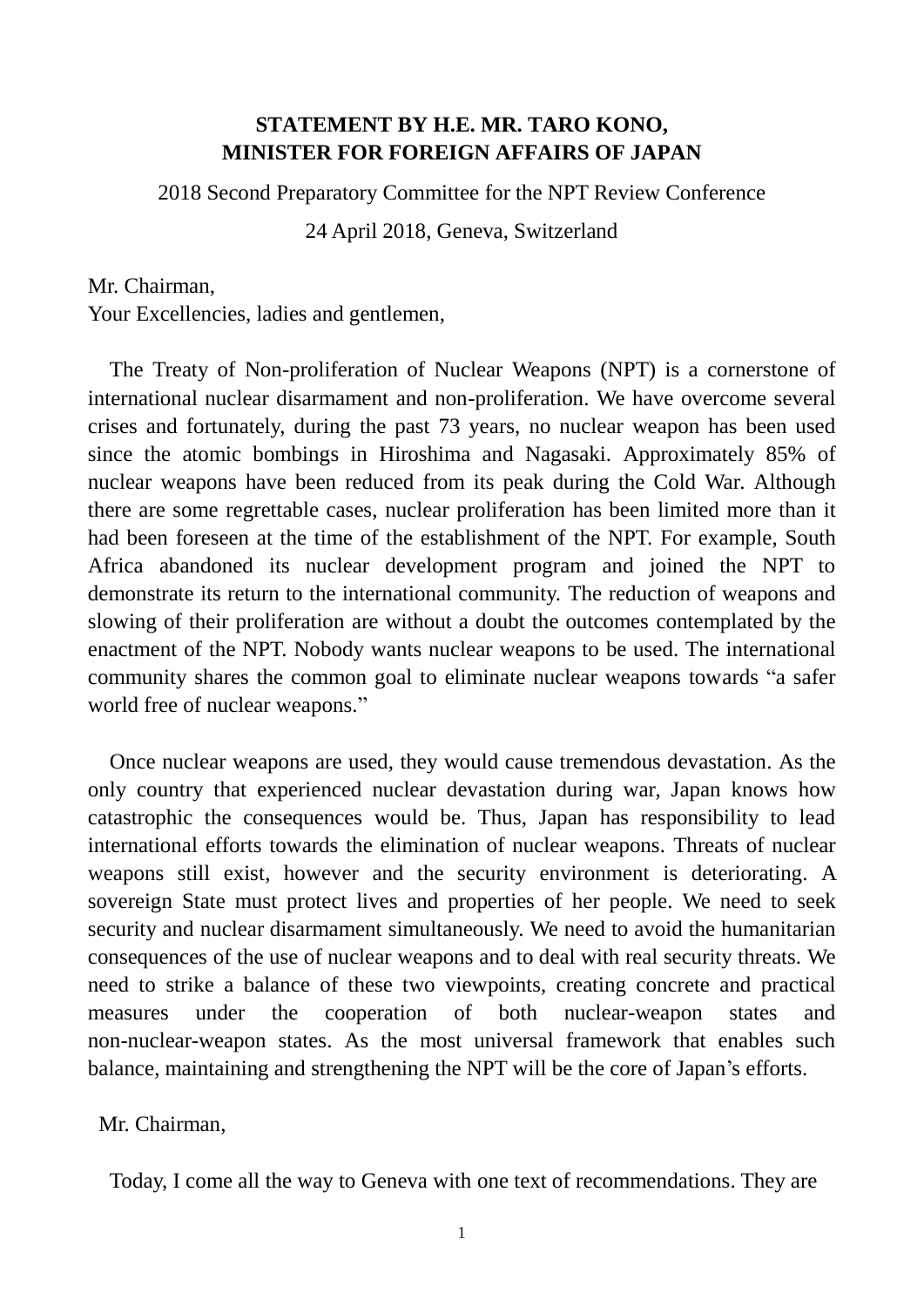## **STATEMENT BY H.E. MR. TARO KONO, MINISTER FOR FOREIGN AFFAIRS OF JAPAN**

2018 Second Preparatory Committee for the NPT Review Conference

24 April 2018, Geneva, Switzerland

Mr. Chairman,

Your Excellencies, ladies and gentlemen,

The Treaty of Non-proliferation of Nuclear Weapons (NPT) is a cornerstone of international nuclear disarmament and non-proliferation. We have overcome several crises and fortunately, during the past 73 years, no nuclear weapon has been used since the atomic bombings in Hiroshima and Nagasaki. Approximately 85% of nuclear weapons have been reduced from its peak during the Cold War. Although there are some regrettable cases, nuclear proliferation has been limited more than it had been foreseen at the time of the establishment of the NPT. For example, South Africa abandoned its nuclear development program and joined the NPT to demonstrate its return to the international community. The reduction of weapons and slowing of their proliferation are without a doubt the outcomes contemplated by the enactment of the NPT. Nobody wants nuclear weapons to be used. The international community shares the common goal to eliminate nuclear weapons towards "a safer world free of nuclear weapons."

Once nuclear weapons are used, they would cause tremendous devastation. As the only country that experienced nuclear devastation during war, Japan knows how catastrophic the consequences would be. Thus, Japan has responsibility to lead international efforts towards the elimination of nuclear weapons. Threats of nuclear weapons still exist, however and the security environment is deteriorating. A sovereign State must protect lives and properties of her people. We need to seek security and nuclear disarmament simultaneously. We need to avoid the humanitarian consequences of the use of nuclear weapons and to deal with real security threats. We need to strike a balance of these two viewpoints, creating concrete and practical measures under the cooperation of both nuclear-weapon states and non-nuclear-weapon states. As the most universal framework that enables such balance, maintaining and strengthening the NPT will be the core of Japan's efforts.

Mr. Chairman,

Today, I come all the way to Geneva with one text of recommendations. They are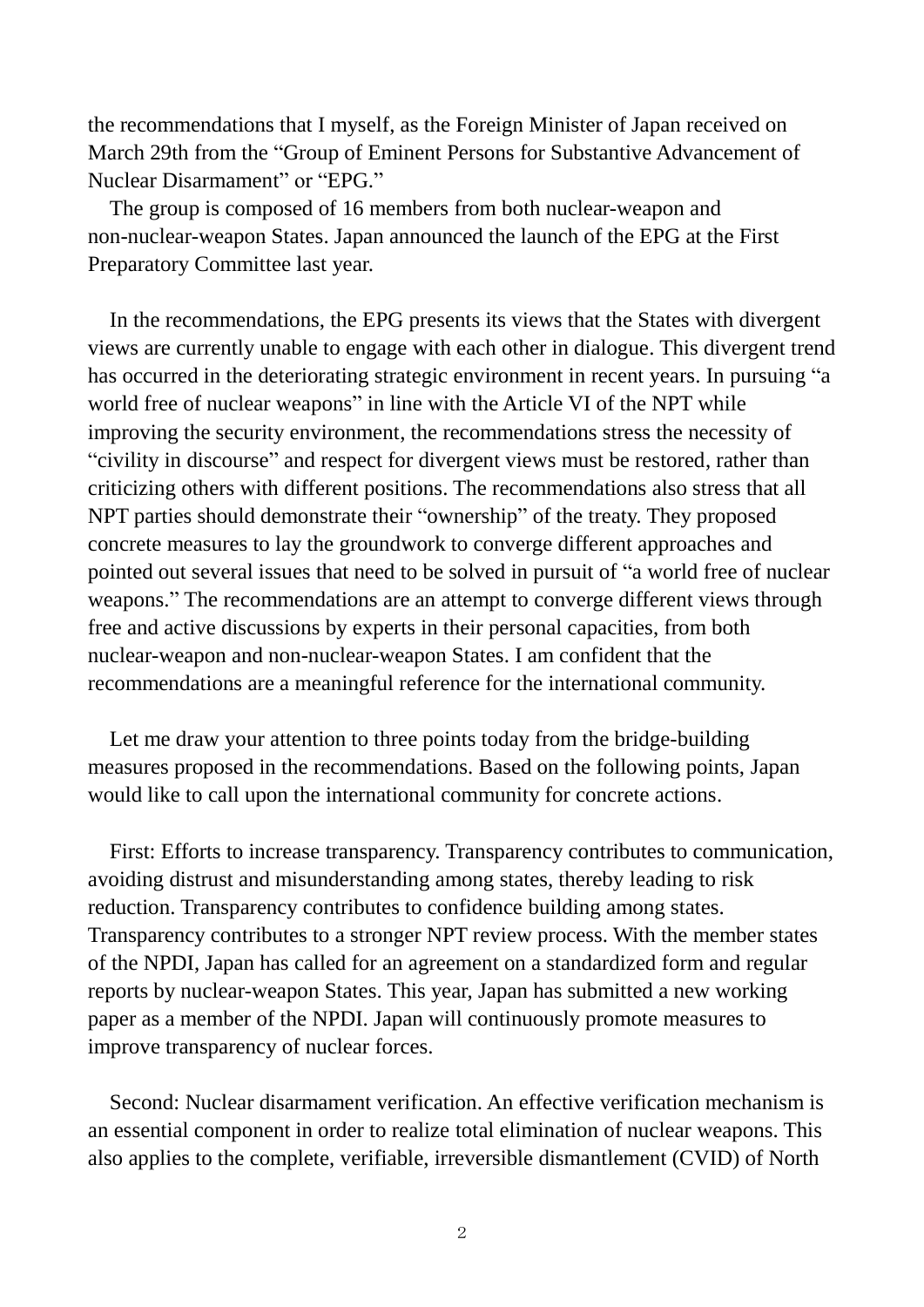the recommendations that I myself, as the Foreign Minister of Japan received on March 29th from the "Group of Eminent Persons for Substantive Advancement of Nuclear Disarmament" or "EPG."

The group is composed of 16 members from both nuclear-weapon and non-nuclear-weapon States. Japan announced the launch of the EPG at the First Preparatory Committee last year.

In the recommendations, the EPG presents its views that the States with divergent views are currently unable to engage with each other in dialogue. This divergent trend has occurred in the deteriorating strategic environment in recent years. In pursuing "a world free of nuclear weapons" in line with the Article VI of the NPT while improving the security environment, the recommendations stress the necessity of "civility in discourse" and respect for divergent views must be restored, rather than criticizing others with different positions. The recommendations also stress that all NPT parties should demonstrate their "ownership" of the treaty. They proposed concrete measures to lay the groundwork to converge different approaches and pointed out several issues that need to be solved in pursuit of "a world free of nuclear weapons." The recommendations are an attempt to converge different views through free and active discussions by experts in their personal capacities, from both nuclear-weapon and non-nuclear-weapon States. I am confident that the recommendations are a meaningful reference for the international community.

Let me draw your attention to three points today from the bridge-building measures proposed in the recommendations. Based on the following points, Japan would like to call upon the international community for concrete actions.

First: Efforts to increase transparency. Transparency contributes to communication, avoiding distrust and misunderstanding among states, thereby leading to risk reduction. Transparency contributes to confidence building among states. Transparency contributes to a stronger NPT review process. With the member states of the NPDI, Japan has called for an agreement on a standardized form and regular reports by nuclear-weapon States. This year, Japan has submitted a new working paper as a member of the NPDI. Japan will continuously promote measures to improve transparency of nuclear forces.

Second: Nuclear disarmament verification. An effective verification mechanism is an essential component in order to realize total elimination of nuclear weapons. This also applies to the complete, verifiable, irreversible dismantlement (CVID) of North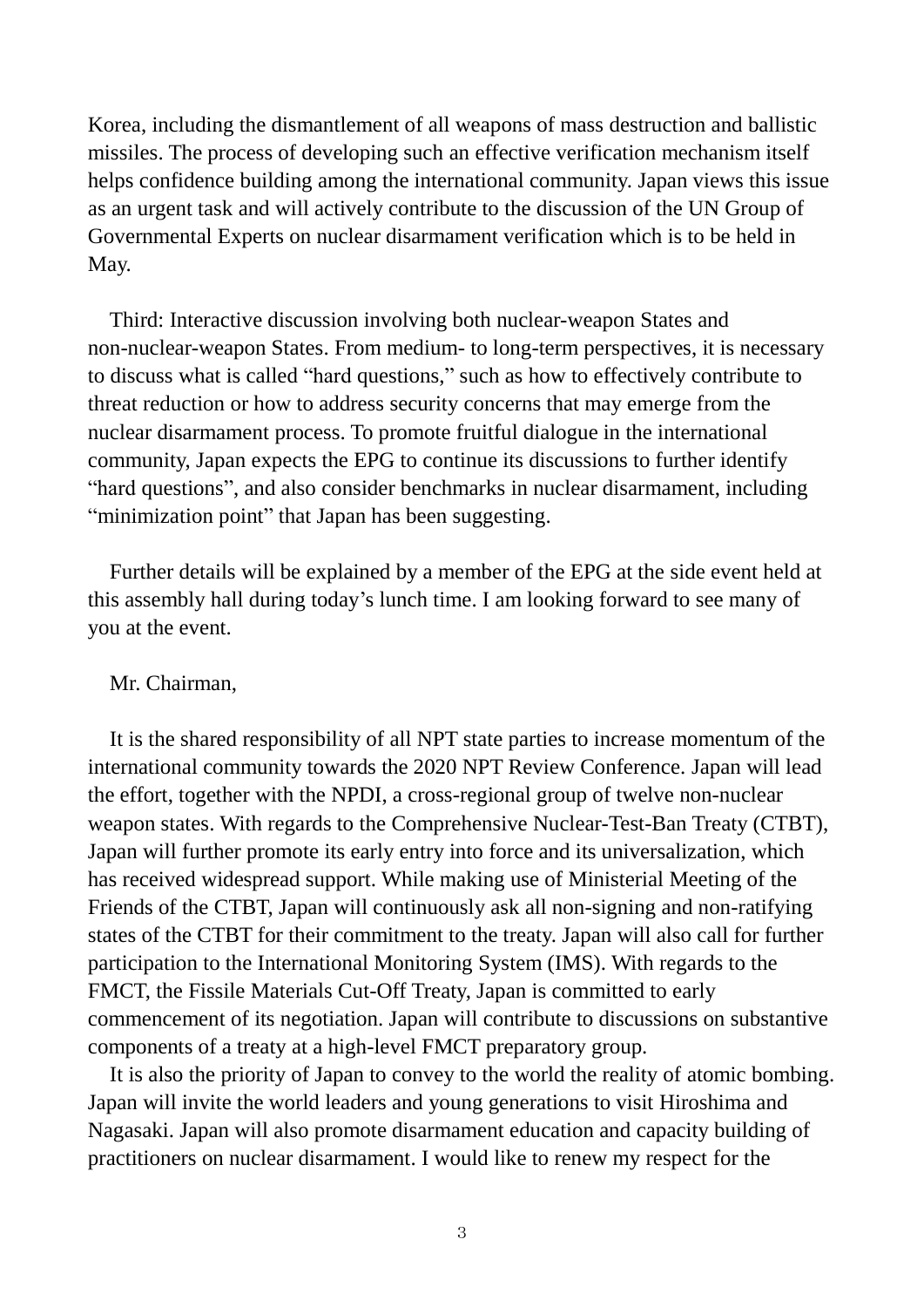Korea, including the dismantlement of all weapons of mass destruction and ballistic missiles. The process of developing such an effective verification mechanism itself helps confidence building among the international community. Japan views this issue as an urgent task and will actively contribute to the discussion of the UN Group of Governmental Experts on nuclear disarmament verification which is to be held in May.

Third: Interactive discussion involving both nuclear-weapon States and non-nuclear-weapon States. From medium- to long-term perspectives, it is necessary to discuss what is called "hard questions," such as how to effectively contribute to threat reduction or how to address security concerns that may emerge from the nuclear disarmament process. To promote fruitful dialogue in the international community, Japan expects the EPG to continue its discussions to further identify "hard questions", and also consider benchmarks in nuclear disarmament, including "minimization point" that Japan has been suggesting.

Further details will be explained by a member of the EPG at the side event held at this assembly hall during today's lunch time. I am looking forward to see many of you at the event.

## Mr. Chairman,

It is the shared responsibility of all NPT state parties to increase momentum of the international community towards the 2020 NPT Review Conference. Japan will lead the effort, together with the NPDI, a cross-regional group of twelve non-nuclear weapon states. With regards to the Comprehensive Nuclear-Test-Ban Treaty (CTBT), Japan will further promote its early entry into force and its universalization, which has received widespread support. While making use of Ministerial Meeting of the Friends of the CTBT, Japan will continuously ask all non-signing and non-ratifying states of the CTBT for their commitment to the treaty. Japan will also call for further participation to the International Monitoring System (IMS). With regards to the FMCT, the Fissile Materials Cut-Off Treaty, Japan is committed to early commencement of its negotiation. Japan will contribute to discussions on substantive components of a treaty at a high-level FMCT preparatory group.

It is also the priority of Japan to convey to the world the reality of atomic bombing. Japan will invite the world leaders and young generations to visit Hiroshima and Nagasaki. Japan will also promote disarmament education and capacity building of practitioners on nuclear disarmament. I would like to renew my respect for the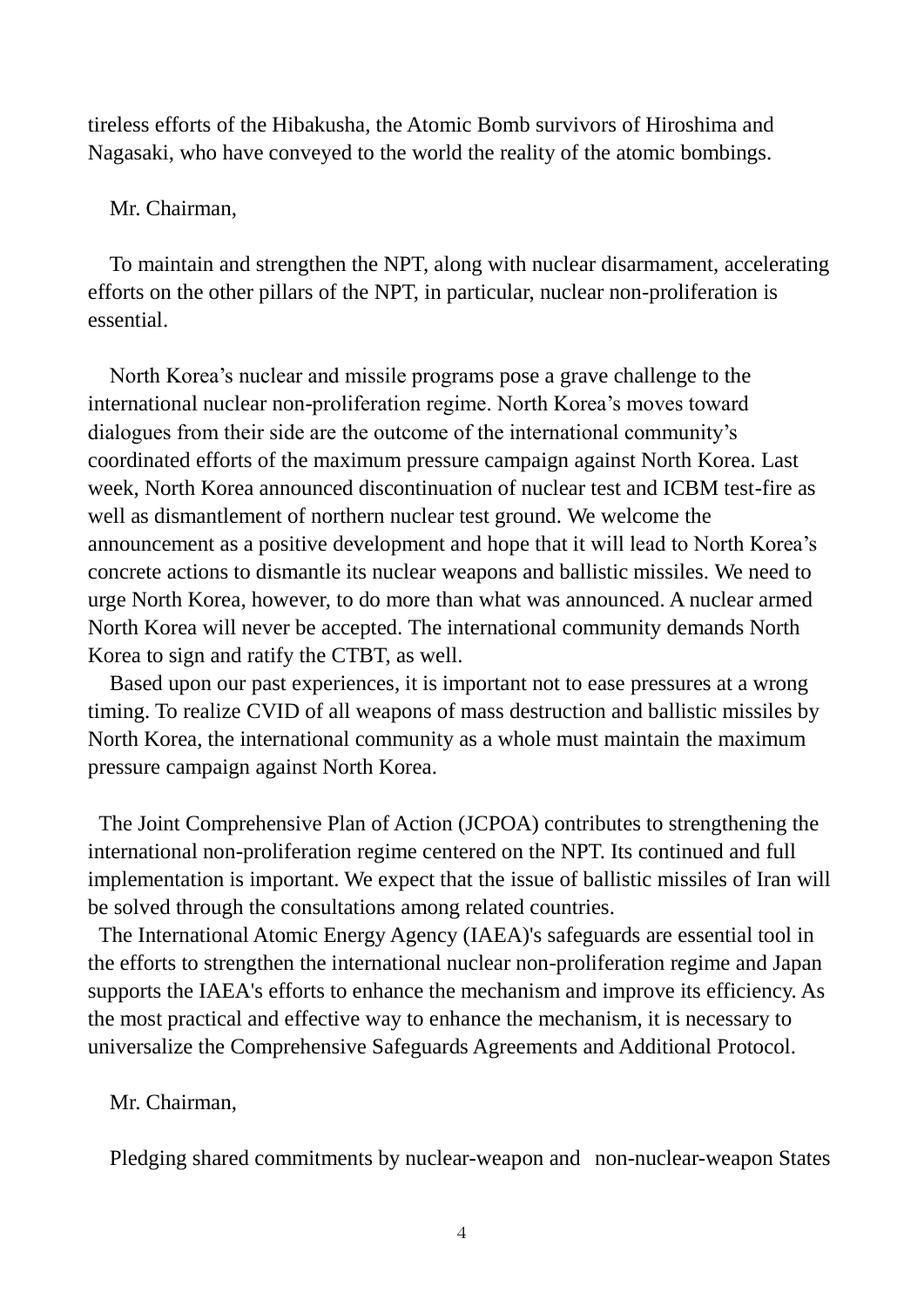tireless efforts of the Hibakusha, the Atomic Bomb survivors of Hiroshima and Nagasaki, who have conveyed to the world the reality of the atomic bombings.

Mr. Chairman,

To maintain and strengthen the NPT, along with nuclear disarmament, accelerating efforts on the other pillars of the NPT, in particular, nuclear non-proliferation is essential.

North Korea's nuclear and missile programs pose a grave challenge to the international nuclear non-proliferation regime. North Korea's moves toward dialogues from their side are the outcome of the international community's coordinated efforts of the maximum pressure campaign against North Korea. Last week, North Korea announced discontinuation of nuclear test and ICBM test-fire as well as dismantlement of northern nuclear test ground. We welcome the announcement as a positive development and hope that it will lead to North Korea's concrete actions to dismantle its nuclear weapons and ballistic missiles. We need to urge North Korea, however, to do more than what was announced. A nuclear armed North Korea will never be accepted. The international community demands North Korea to sign and ratify the CTBT, as well.

Based upon our past experiences, it is important not to ease pressures at a wrong timing. To realize CVID of all weapons of mass destruction and ballistic missiles by North Korea, the international community as a whole must maintain the maximum pressure campaign against North Korea.

The Joint Comprehensive Plan of Action (JCPOA) contributes to strengthening the international non-proliferation regime centered on the NPT. Its continued and full implementation is important. We expect that the issue of ballistic missiles of Iran will be solved through the consultations among related countries.

The International Atomic Energy Agency (IAEA)'s safeguards are essential tool in the efforts to strengthen the international nuclear non-proliferation regime and Japan supports the IAEA's efforts to enhance the mechanism and improve its efficiency. As the most practical and effective way to enhance the mechanism, it is necessary to universalize the Comprehensive Safeguards Agreements and Additional Protocol.

Mr. Chairman,

Pledging shared commitments by nuclear-weapon and non-nuclear-weapon States